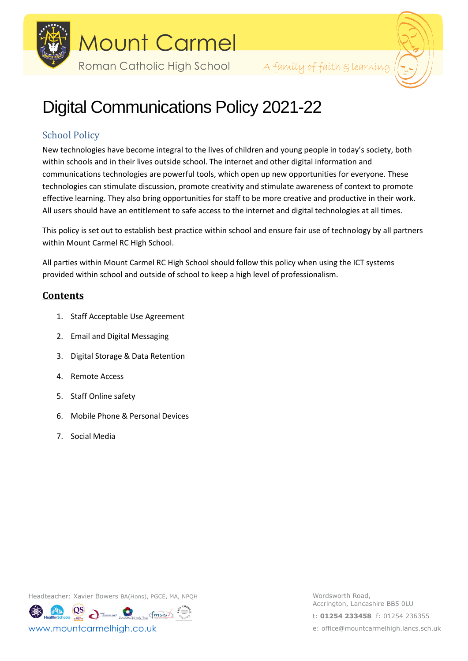

Roman Catholic High School A family of faith & learning



# Digital Communications Policy 2021-22

# School Policy

New technologies have become integral to the lives of children and young people in today's society, both within schools and in their lives outside school. The internet and other digital information and communications technologies are powerful tools, which open up new opportunities for everyone. These technologies can stimulate discussion, promote creativity and stimulate awareness of context to promote effective learning. They also bring opportunities for staff to be more creative and productive in their work. All users should have an entitlement to safe access to the internet and digital technologies at all times.

This policy is set out to establish best practice within school and ensure fair use of technology by all partners within Mount Carmel RC High School.

All parties within Mount Carmel RC High School should follow this policy when using the ICT systems provided within school and outside of school to keep a high level of professionalism.

# **Contents**

- 1. Staff Acceptable Use Agreement
- 2. Email and Digital Messaging
- 3. Digital Storage & Data Retention
- 4. Remote Access
- 5. Staff Online safety
- 6. Mobile Phone & Personal Devices
- 7. Social Media

Headteacher: Xavier Bowers BA(Hons), PGCE, MA, NPQH WORD WORDSWORTH Road,

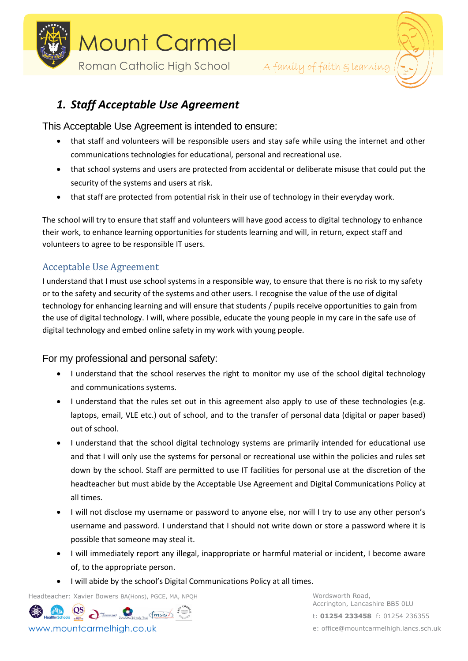



# *1. Staff Acceptable Use Agreement*

# This Acceptable Use Agreement is intended to ensure:

- that staff and volunteers will be responsible users and stay safe while using the internet and other communications technologies for educational, personal and recreational use.
- that school systems and users are protected from accidental or deliberate misuse that could put the security of the systems and users at risk.
- that staff are protected from potential risk in their use of technology in their everyday work.

The school will try to ensure that staff and volunteers will have good access to digital technology to enhance their work, to enhance learning opportunities for students learning and will, in return, expect staff and volunteers to agree to be responsible IT users.

# Acceptable Use Agreement

I understand that I must use school systems in a responsible way, to ensure that there is no risk to my safety or to the safety and security of the systems and other users. I recognise the value of the use of digital technology for enhancing learning and will ensure that students / pupils receive opportunities to gain from the use of digital technology. I will, where possible, educate the young people in my care in the safe use of digital technology and embed online safety in my work with young people.

# For my professional and personal safety:

- I understand that the school reserves the right to monitor my use of the school digital technology and communications systems.
- I understand that the rules set out in this agreement also apply to use of these technologies (e.g. laptops, email, VLE etc.) out of school, and to the transfer of personal data (digital or paper based) out of school.
- I understand that the school digital technology systems are primarily intended for educational use and that I will only use the systems for personal or recreational use within the policies and rules set down by the school. Staff are permitted to use IT facilities for personal use at the discretion of the headteacher but must abide by the Acceptable Use Agreement and Digital Communications Policy at all times.
- I will not disclose my username or password to anyone else, nor will I try to use any other person's username and password. I understand that I should not write down or store a password where it is possible that someone may steal it.
- I will immediately report any illegal, inappropriate or harmful material or incident, I become aware of, to the appropriate person.
- I will abide by the school's Digital Communications Policy at all times.

Headteacher: Xavier Bowers BA(Hons), PGCE, MA, NPQH Wordsworth Road,

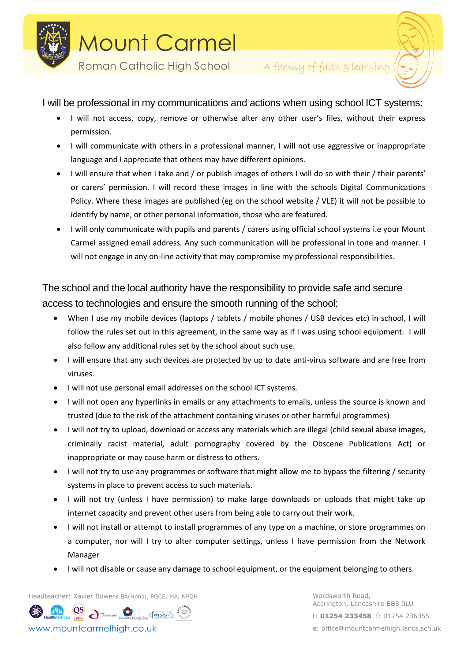



I will be professional in my communications and actions when using school ICT systems:

- I will not access, copy, remove or otherwise alter any other user's files, without their express permission.
- I will communicate with others in a professional manner, I will not use aggressive or inappropriate language and I appreciate that others may have different opinions.
- I will ensure that when I take and / or publish images of others I will do so with their / their parents' or carers' permission. I will record these images in line with the schools Digital Communications Policy. Where these images are published (eg on the school website / VLE) it will not be possible to identify by name, or other personal information, those who are featured.
- I will only communicate with pupils and parents / carers using official school systems i.e your Mount Carmel assigned email address. Any such communication will be professional in tone and manner. I will not engage in any on-line activity that may compromise my professional responsibilities.

# The school and the local authority have the responsibility to provide safe and secure access to technologies and ensure the smooth running of the school:

- When I use my mobile devices (laptops / tablets / mobile phones / USB devices etc) in school, I will follow the rules set out in this agreement, in the same way as if I was using school equipment. I will also follow any additional rules set by the school about such use.
- I will ensure that any such devices are protected by up to date anti-virus software and are free from viruses.
- I will not use personal email addresses on the school ICT systems.
- I will not open any hyperlinks in emails or any attachments to emails, unless the source is known and trusted (due to the risk of the attachment containing viruses or other harmful programmes)
- I will not try to upload, download or access any materials which are illegal (child sexual abuse images, criminally racist material, adult pornography covered by the Obscene Publications Act) or inappropriate or may cause harm or distress to others.
- I will not try to use any programmes or software that might allow me to bypass the filtering / security systems in place to prevent access to such materials.
- I will not try (unless I have permission) to make large downloads or uploads that might take up internet capacity and prevent other users from being able to carry out their work.
- I will not install or attempt to install programmes of any type on a machine, or store programmes on a computer, nor will I try to alter computer settings, unless I have permission from the Network Manager
- I will not disable or cause any damage to school equipment, or the equipment belonging to others.

Headteacher: Xavier Bowers BA(Hons), PGCE, MA, NPQH WORD WORDSWORTH Road,

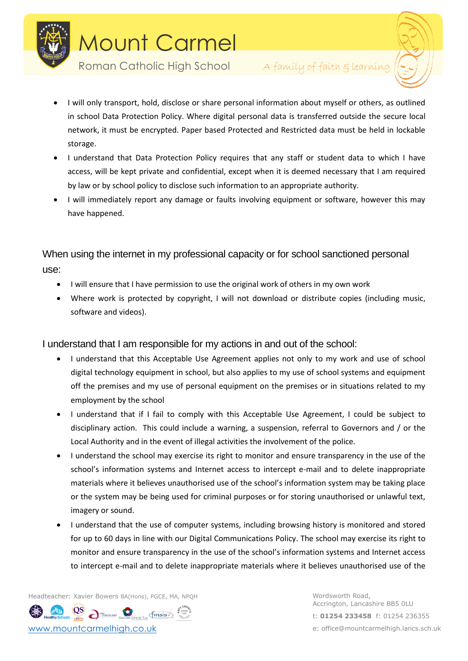

Roman Catholic High School A family of faith glearning



- I will only transport, hold, disclose or share personal information about myself or others, as outlined in school Data Protection Policy. Where digital personal data is transferred outside the secure local network, it must be encrypted. Paper based Protected and Restricted data must be held in lockable storage.
- I understand that Data Protection Policy requires that any staff or student data to which I have access, will be kept private and confidential, except when it is deemed necessary that I am required by law or by school policy to disclose such information to an appropriate authority.
- I will immediately report any damage or faults involving equipment or software, however this may have happened.

When using the internet in my professional capacity or for school sanctioned personal use:

- I will ensure that I have permission to use the original work of others in my own work
- Where work is protected by copyright, I will not download or distribute copies (including music, software and videos).

I understand that I am responsible for my actions in and out of the school:

- I understand that this Acceptable Use Agreement applies not only to my work and use of school digital technology equipment in school, but also applies to my use of school systems and equipment off the premises and my use of personal equipment on the premises or in situations related to my employment by the school
- I understand that if I fail to comply with this Acceptable Use Agreement, I could be subject to disciplinary action. This could include a warning, a suspension, referral to Governors and / or the Local Authority and in the event of illegal activities the involvement of the police.
- I understand the school may exercise its right to monitor and ensure transparency in the use of the school's information systems and Internet access to intercept e-mail and to delete inappropriate materials where it believes unauthorised use of the school's information system may be taking place or the system may be being used for criminal purposes or for storing unauthorised or unlawful text, imagery or sound.
- I understand that the use of computer systems, including browsing history is monitored and stored for up to 60 days in line with our Digital Communications Policy. The school may exercise its right to monitor and ensure transparency in the use of the school's information systems and Internet access to intercept e-mail and to delete inappropriate materials where it believes unauthorised use of the

Headteacher: Xavier Bowers BA(Hons), PGCE, MA, NPQH WORD WORDSWORTH Road,

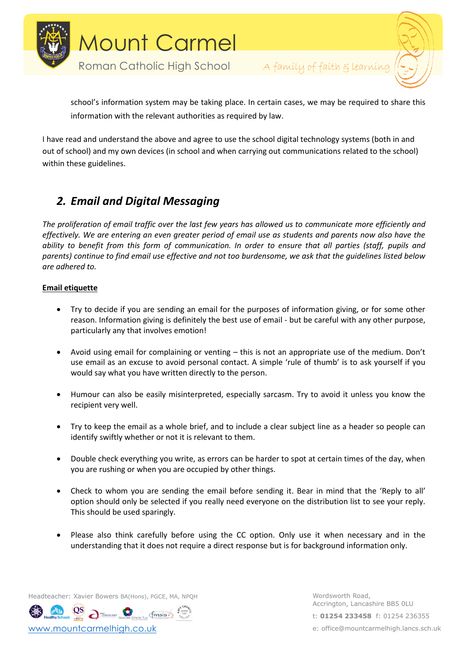



school's information system may be taking place. In certain cases, we may be required to share this information with the relevant authorities as required by law.

I have read and understand the above and agree to use the school digital technology systems (both in and out of school) and my own devices (in school and when carrying out communications related to the school) within these guidelines.

# *2. Email and Digital Messaging*

*The proliferation of email traffic over the last few years has allowed us to communicate more efficiently and effectively. We are entering an even greater period of email use as students and parents now also have the ability to benefit from this form of communication. In order to ensure that all parties (staff, pupils and parents) continue to find email use effective and not too burdensome, we ask that the guidelines listed below are adhered to.*

# **Email etiquette**

- Try to decide if you are sending an email for the purposes of information giving, or for some other reason. Information giving is definitely the best use of email - but be careful with any other purpose, particularly any that involves emotion!
- Avoid using email for complaining or venting this is not an appropriate use of the medium. Don't use email as an excuse to avoid personal contact. A simple 'rule of thumb' is to ask yourself if you would say what you have written directly to the person.
- Humour can also be easily misinterpreted, especially sarcasm. Try to avoid it unless you know the recipient very well.
- Try to keep the email as a whole brief, and to include a clear subject line as a header so people can identify swiftly whether or not it is relevant to them.
- Double check everything you write, as errors can be harder to spot at certain times of the day, when you are rushing or when you are occupied by other things.
- Check to whom you are sending the email before sending it. Bear in mind that the 'Reply to all' option should only be selected if you really need everyone on the distribution list to see your reply. This should be used sparingly.
- Please also think carefully before using the CC option. Only use it when necessary and in the understanding that it does not require a direct response but is for background information only.

Headteacher: Xavier Bowers BA(Hons), PGCE, MA, NPQH WORD WORDSWORTH Road,

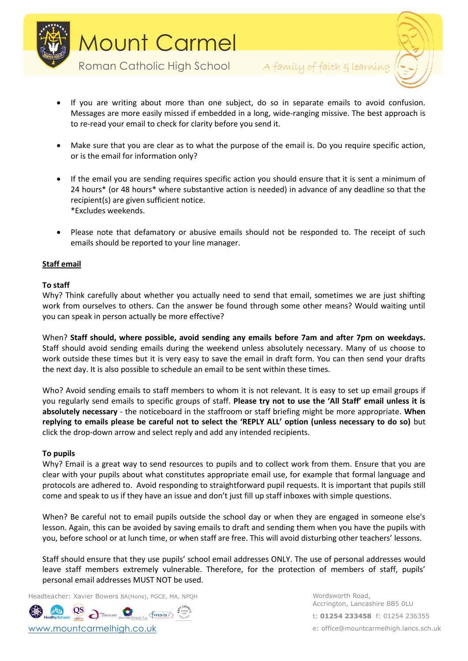

Roman Catholic High School A family of faith g learning



- If you are writing about more than one subject, do so in separate emails to avoid confusion. Messages are more easily missed if embedded in a long, wide-ranging missive. The best approach is to re-read your email to check for clarity before you send it.
- Make sure that you are clear as to what the purpose of the email is. Do you require specific action, or is the email for information only?
- If the email you are sending requires specific action you should ensure that it is sent a minimum of 24 hours\* (or 48 hours\* where substantive action is needed) in advance of any deadline so that the recipient(s) are given sufficient notice. \*Excludes weekends.
- Please note that defamatory or abusive emails should not be responded to. The receipt of such emails should be reported to your line manager.

# **Staff email**

## **To staff**

Why? Think carefully about whether you actually need to send that email, sometimes we are just shifting work from ourselves to others. Can the answer be found through some other means? Would waiting until you can speak in person actually be more effective?

When? **Staff should, where possible, avoid sending any emails before 7am and after 7pm on weekdays.** Staff should avoid sending emails during the weekend unless absolutely necessary. Many of us choose to work outside these times but it is very easy to save the email in draft form. You can then send your drafts the next day. It is also possible to schedule an email to be sent within these times.

Who? Avoid sending emails to staff members to whom it is not relevant. It is easy to set up email groups if you regularly send emails to specific groups of staff. **Please try not to use the 'All Staff' email unless it is absolutely necessary** - the noticeboard in the staffroom or staff briefing might be more appropriate. **When replying to emails please be careful not to select the 'REPLY ALL' option (unless necessary to do so)** but click the drop-down arrow and select reply and add any intended recipients.

## **To pupils**

Why? Email is a great way to send resources to pupils and to collect work from them. Ensure that you are clear with your pupils about what constitutes appropriate email use, for example that formal language and protocols are adhered to. Avoid responding to straightforward pupil requests. It is important that pupils still come and speak to us if they have an issue and don't just fill up staff inboxes with simple questions.

When? Be careful not to email pupils outside the school day or when they are engaged in someone else's lesson. Again, this can be avoided by saving emails to draft and sending them when you have the pupils with you, before school or at lunch time, or when staff are free. This will avoid disturbing other teachers' lessons.

Staff should ensure that they use pupils' school email addresses ONLY. The use of personal addresses would leave staff members extremely vulnerable. Therefore, for the protection of members of staff, pupils' personal email addresses MUST NOT be used.

Headteacher: Xavier Bowers BA(Hons), PGCE, MA, NPQH WORD WORDSWORTH Road,

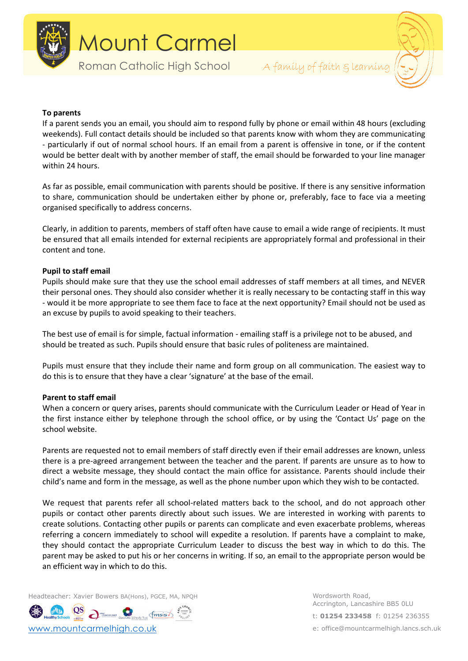

Roman Catholic High School A family of faith & learning



## **To parents**

If a parent sends you an email, you should aim to respond fully by phone or email within 48 hours (excluding weekends). Full contact details should be included so that parents know with whom they are communicating - particularly if out of normal school hours. If an email from a parent is offensive in tone, or if the content would be better dealt with by another member of staff, the email should be forwarded to your line manager within 24 hours.

As far as possible, email communication with parents should be positive. If there is any sensitive information to share, communication should be undertaken either by phone or, preferably, face to face via a meeting organised specifically to address concerns.

Clearly, in addition to parents, members of staff often have cause to email a wide range of recipients. It must be ensured that all emails intended for external recipients are appropriately formal and professional in their content and tone.

## **Pupil to staff email**

Pupils should make sure that they use the school email addresses of staff members at all times, and NEVER their personal ones. They should also consider whether it is really necessary to be contacting staff in this way - would it be more appropriate to see them face to face at the next opportunity? Email should not be used as an excuse by pupils to avoid speaking to their teachers.

The best use of email is for simple, factual information - emailing staff is a privilege not to be abused, and should be treated as such. Pupils should ensure that basic rules of politeness are maintained.

Pupils must ensure that they include their name and form group on all communication. The easiest way to do this is to ensure that they have a clear 'signature' at the base of the email.

## **Parent to staff email**

When a concern or query arises, parents should communicate with the Curriculum Leader or Head of Year in the first instance either by telephone through the school office, or by using the 'Contact Us' page on the school website.

Parents are requested not to email members of staff directly even if their email addresses are known, unless there is a pre-agreed arrangement between the teacher and the parent. If parents are unsure as to how to direct a website message, they should contact the main office for assistance. Parents should include their child's name and form in the message, as well as the phone number upon which they wish to be contacted.

We request that parents refer all school-related matters back to the school, and do not approach other pupils or contact other parents directly about such issues. We are interested in working with parents to create solutions. Contacting other pupils or parents can complicate and even exacerbate problems, whereas referring a concern immediately to school will expedite a resolution. If parents have a complaint to make, they should contact the appropriate Curriculum Leader to discuss the best way in which to do this. The parent may be asked to put his or her concerns in writing. If so, an email to the appropriate person would be an efficient way in which to do this.

Headteacher: Xavier Bowers BA(Hons), PGCE, MA, NPQH WORD WORDSWORTH Road,

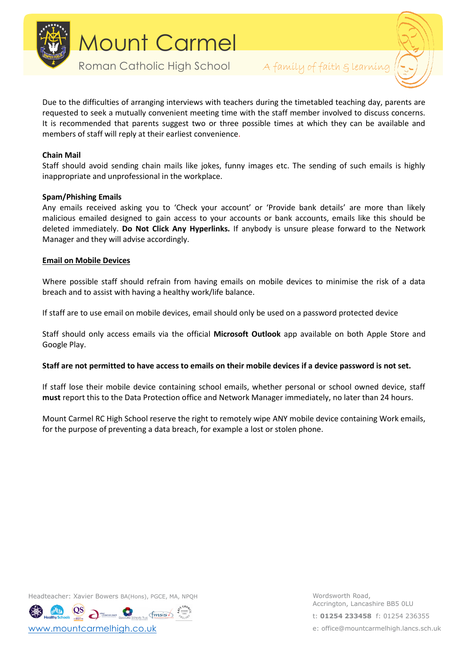

Roman Catholic High School A family of faith & learning



Due to the difficulties of arranging interviews with teachers during the timetabled teaching day, parents are requested to seek a mutually convenient meeting time with the staff member involved to discuss concerns. It is recommended that parents suggest two or three possible times at which they can be available and members of staff will reply at their earliest convenience.

## **Chain Mail**

Staff should avoid sending chain mails like jokes, funny images etc. The sending of such emails is highly inappropriate and unprofessional in the workplace.

## **Spam/Phishing Emails**

Any emails received asking you to 'Check your account' or 'Provide bank details' are more than likely malicious emailed designed to gain access to your accounts or bank accounts, emails like this should be deleted immediately. **Do Not Click Any Hyperlinks.** If anybody is unsure please forward to the Network Manager and they will advise accordingly.

## **Email on Mobile Devices**

Where possible staff should refrain from having emails on mobile devices to minimise the risk of a data breach and to assist with having a healthy work/life balance.

If staff are to use email on mobile devices, email should only be used on a password protected device

Staff should only access emails via the official **Microsoft Outlook** app available on both Apple Store and Google Play.

## **Staff are not permitted to have access to emails on their mobile devices if a device password is not set.**

If staff lose their mobile device containing school emails, whether personal or school owned device, staff **must** report this to the Data Protection office and Network Manager immediately, no later than 24 hours.

Mount Carmel RC High School reserve the right to remotely wipe ANY mobile device containing Work emails, for the purpose of preventing a data breach, for example a lost or stolen phone.

Headteacher: Xavier Bowers BA(Hons), PGCE, MA, NPQH WORD WORDSWORTH Road,

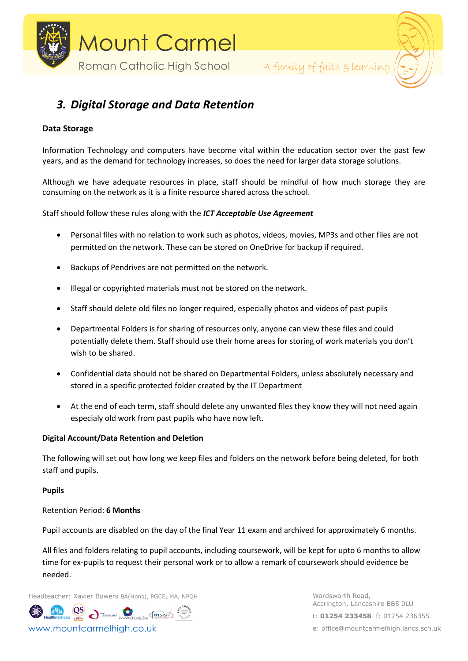



# *3. Digital Storage and Data Retention*

# **Data Storage**

Information Technology and computers have become vital within the education sector over the past few years, and as the demand for technology increases, so does the need for larger data storage solutions.

Although we have adequate resources in place, staff should be mindful of how much storage they are consuming on the network as it is a finite resource shared across the school.

Staff should follow these rules along with the *ICT Acceptable Use Agreement*

- Personal files with no relation to work such as photos, videos, movies, MP3s and other files are not permitted on the network. These can be stored on OneDrive for backup if required.
- Backups of Pendrives are not permitted on the network.
- Illegal or copyrighted materials must not be stored on the network.
- Staff should delete old files no longer required, especially photos and videos of past pupils
- Departmental Folders is for sharing of resources only, anyone can view these files and could potentially delete them. Staff should use their home areas for storing of work materials you don't wish to be shared.
- Confidential data should not be shared on Departmental Folders, unless absolutely necessary and stored in a specific protected folder created by the IT Department
- At the end of each term, staff should delete any unwanted files they know they will not need again especialy old work from past pupils who have now left.

## **Digital Account/Data Retention and Deletion**

The following will set out how long we keep files and folders on the network before being deleted, for both staff and pupils.

## **Pupils**

## Retention Period: **6 Months**

Pupil accounts are disabled on the day of the final Year 11 exam and archived for approximately 6 months.

All files and folders relating to pupil accounts, including coursework, will be kept for upto 6 months to allow time for ex-pupils to request their personal work or to allow a remark of coursework should evidence be needed.

Headteacher: Xavier Bowers BA(Hons), PGCE, MA, NPQH WORD WORDSWORTH Road,

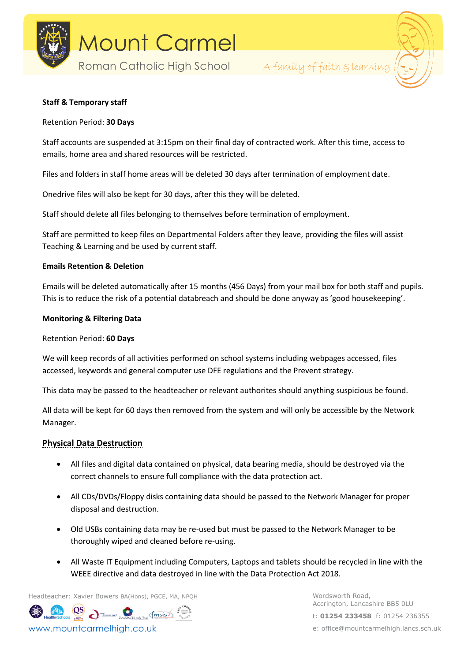



## **Staff & Temporary staff**

## Retention Period: **30 Days**

Staff accounts are suspended at 3:15pm on their final day of contracted work. After this time, access to emails, home area and shared resources will be restricted.

Files and folders in staff home areas will be deleted 30 days after termination of employment date.

Onedrive files will also be kept for 30 days, after this they will be deleted.

Staff should delete all files belonging to themselves before termination of employment.

Staff are permitted to keep files on Departmental Folders after they leave, providing the files will assist Teaching & Learning and be used by current staff.

## **Emails Retention & Deletion**

Emails will be deleted automatically after 15 months (456 Days) from your mail box for both staff and pupils. This is to reduce the risk of a potential databreach and should be done anyway as 'good housekeeping'.

## **Monitoring & Filtering Data**

## Retention Period: **60 Days**

We will keep records of all activities performed on school systems including webpages accessed, files accessed, keywords and general computer use DFE regulations and the Prevent strategy.

This data may be passed to the headteacher or relevant authorites should anything suspicious be found.

All data will be kept for 60 days then removed from the system and will only be accessible by the Network Manager.

# **Physical Data Destruction**

- All files and digital data contained on physical, data bearing media, should be destroyed via the correct channels to ensure full compliance with the data protection act.
- All CDs/DVDs/Floppy disks containing data should be passed to the Network Manager for proper disposal and destruction.
- Old USBs containing data may be re-used but must be passed to the Network Manager to be thoroughly wiped and cleaned before re-using.
- All Waste IT Equipment including Computers, Laptops and tablets should be recycled in line with the WEEE directive and data destroyed in line with the Data Protection Act 2018.

Headteacher: Xavier Bowers BA(Hons), PGCE, MA, NPQH Wordsworth Road,

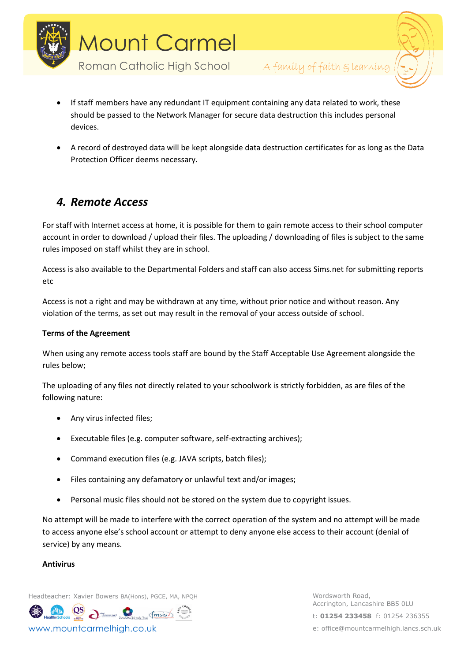



- If staff members have any redundant IT equipment containing any data related to work, these should be passed to the Network Manager for secure data destruction this includes personal devices.
- A record of destroyed data will be kept alongside data destruction certificates for as long as the Data Protection Officer deems necessary.

# *4. Remote Access*

For staff with Internet access at home, it is possible for them to gain remote access to their school computer account in order to download / upload their files. The uploading / downloading of files is subject to the same rules imposed on staff whilst they are in school.

Access is also available to the Departmental Folders and staff can also access Sims.net for submitting reports etc

Access is not a right and may be withdrawn at any time, without prior notice and without reason. Any violation of the terms, as set out may result in the removal of your access outside of school.

# **Terms of the Agreement**

When using any remote access tools staff are bound by the Staff Acceptable Use Agreement alongside the rules below;

The uploading of any files not directly related to your schoolwork is strictly forbidden, as are files of the following nature:

- Any virus infected files;
- Executable files (e.g. computer software, self-extracting archives);
- Command execution files (e.g. JAVA scripts, batch files);
- Files containing any defamatory or unlawful text and/or images;
- Personal music files should not be stored on the system due to copyright issues.

No attempt will be made to interfere with the correct operation of the system and no attempt will be made to access anyone else's school account or attempt to deny anyone else access to their account (denial of service) by any means.

# **Antivirus**

Headteacher: Xavier Bowers BA(Hons), PGCE, MA, NPQH WORD WORDSWORTH Road,

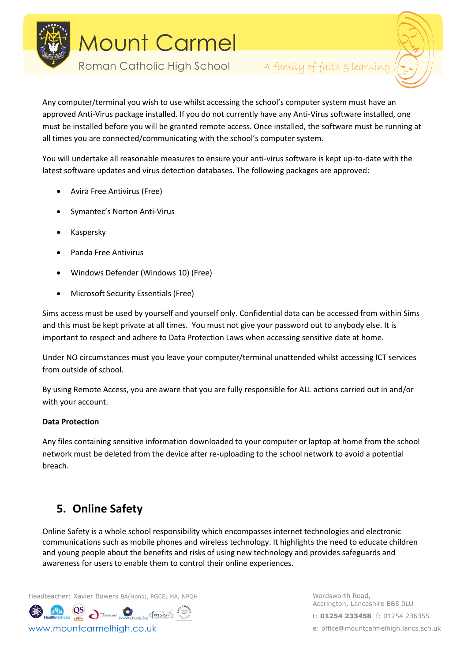

Roman Catholic High School A family of faith glearning



Any computer/terminal you wish to use whilst accessing the school's computer system must have an approved Anti-Virus package installed. If you do not currently have any Anti-Virus software installed, one must be installed before you will be granted remote access. Once installed, the software must be running at all times you are connected/communicating with the school's computer system.

You will undertake all reasonable measures to ensure your anti-virus software is kept up-to-date with the latest software updates and virus detection databases. The following packages are approved:

- Avira Free Antivirus (Free)
- Symantec's Norton Anti-Virus
- Kaspersky
- Panda Free Antivirus
- Windows Defender (Windows 10) (Free)
- Microsoft Security Essentials (Free)

Sims access must be used by yourself and yourself only. Confidential data can be accessed from within Sims and this must be kept private at all times. You must not give your password out to anybody else. It is important to respect and adhere to Data Protection Laws when accessing sensitive date at home.

Under NO circumstances must you leave your computer/terminal unattended whilst accessing ICT services from outside of school.

By using Remote Access, you are aware that you are fully responsible for ALL actions carried out in and/or with your account.

## **Data Protection**

Any files containing sensitive information downloaded to your computer or laptop at home from the school network must be deleted from the device after re-uploading to the school network to avoid a potential breach.

# **5. Online Safety**

Online Safety is a whole school responsibility which encompasses internet technologies and electronic communications such as mobile phones and wireless technology. It highlights the need to educate children and young people about the benefits and risks of using new technology and provides safeguards and awareness for users to enable them to control their online experiences.

Headteacher: Xavier Bowers BA(Hons), PGCE, MA, NPQH WORD WORDSWORTH Road,

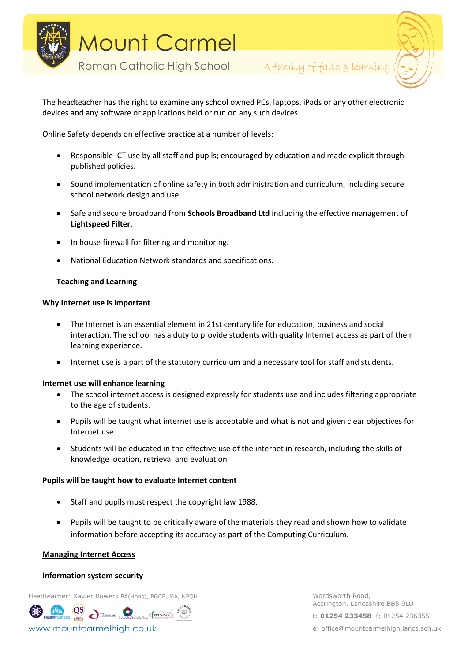



The headteacher has the right to examine any school owned PCs, laptops, iPads or any other electronic devices and any software or applications held or run on any such devices.

Online Safety depends on effective practice at a number of levels:

- Responsible ICT use by all staff and pupils; encouraged by education and made explicit through published policies.
- Sound implementation of online safety in both administration and curriculum, including secure school network design and use.
- Safe and secure broadband from **Schools Broadband Ltd** including the effective management of **Lightspeed Filter**.
- In house firewall for filtering and monitoring.
- National Education Network standards and specifications.

## **Teaching and Learning**

## **Why Internet use is important**

- The Internet is an essential element in 21st century life for education, business and social interaction. The school has a duty to provide students with quality Internet access as part of their learning experience.
- Internet use is a part of the statutory curriculum and a necessary tool for staff and students.

## **Internet use will enhance learning**

- The school internet access is designed expressly for students use and includes filtering appropriate to the age of students.
- Pupils will be taught what internet use is acceptable and what is not and given clear objectives for Internet use.
- Students will be educated in the effective use of the internet in research, including the skills of knowledge location, retrieval and evaluation

## **Pupils will be taught how to evaluate Internet content**

- Staff and pupils must respect the copyright law 1988.
- Pupils will be taught to be critically aware of the materials they read and shown how to validate information before accepting its accuracy as part of the Computing Curriculum.

## **Managing Internet Access**

## **Information system security**

Headteacher: Xavier Bowers BA(Hons), PGCE, MA, NPQH WORD WORDSWORTH Road,

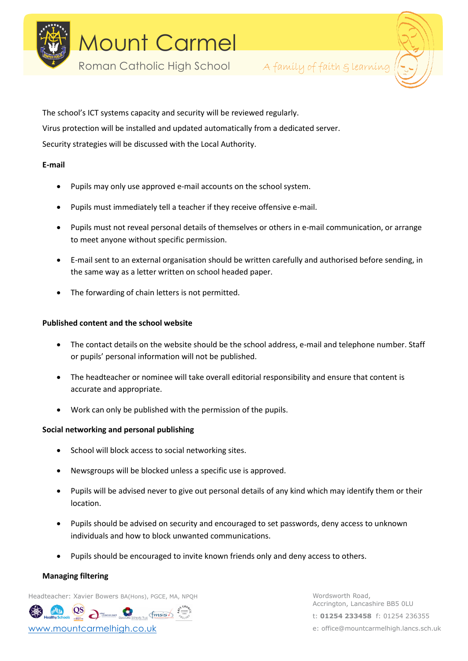

Roman Catholic High School A family of faith & learning



The school's ICT systems capacity and security will be reviewed regularly. Virus protection will be installed and updated automatically from a dedicated server. Security strategies will be discussed with the Local Authority.

## **E-mail**

- Pupils may only use approved e-mail accounts on the school system.
- Pupils must immediately tell a teacher if they receive offensive e-mail.
- Pupils must not reveal personal details of themselves or others in e-mail communication, or arrange to meet anyone without specific permission.
- E-mail sent to an external organisation should be written carefully and authorised before sending, in the same way as a letter written on school headed paper.
- The forwarding of chain letters is not permitted.

## **Published content and the school website**

- The contact details on the website should be the school address, e-mail and telephone number. Staff or pupils' personal information will not be published.
- The headteacher or nominee will take overall editorial responsibility and ensure that content is accurate and appropriate.
- Work can only be published with the permission of the pupils.

# **Social networking and personal publishing**

- School will block access to social networking sites.
- Newsgroups will be blocked unless a specific use is approved.
- Pupils will be advised never to give out personal details of any kind which may identify them or their location.
- Pupils should be advised on security and encouraged to set passwords, deny access to unknown individuals and how to block unwanted communications.
- Pupils should be encouraged to invite known friends only and deny access to others.

## **Managing filtering**

Headteacher: Xavier Bowers BA(Hons), PGCE, MA, NPQH WORD WORDSWORTH Road,

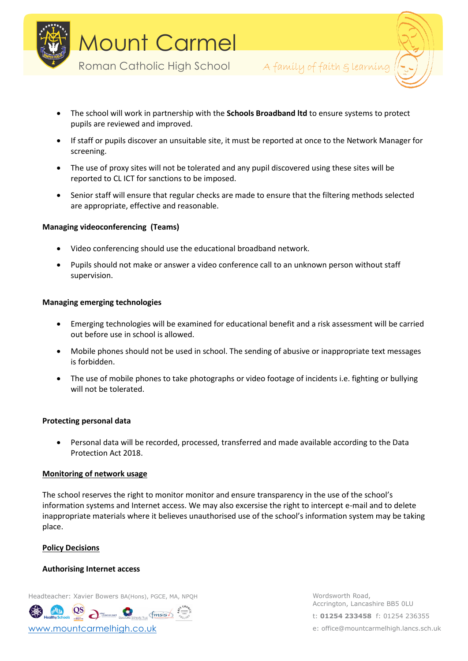



- The school will work in partnership with the **Schools Broadband ltd** to ensure systems to protect pupils are reviewed and improved.
- If staff or pupils discover an unsuitable site, it must be reported at once to the Network Manager for screening.
- The use of proxy sites will not be tolerated and any pupil discovered using these sites will be reported to CL ICT for sanctions to be imposed.
- Senior staff will ensure that regular checks are made to ensure that the filtering methods selected are appropriate, effective and reasonable.

## **Managing videoconferencing (Teams)**

- Video conferencing should use the educational broadband network.
- Pupils should not make or answer a video conference call to an unknown person without staff supervision.

## **Managing emerging technologies**

- Emerging technologies will be examined for educational benefit and a risk assessment will be carried out before use in school is allowed.
- Mobile phones should not be used in school. The sending of abusive or inappropriate text messages is forbidden.
- The use of mobile phones to take photographs or video footage of incidents i.e. fighting or bullying will not be tolerated.

## **Protecting personal data**

• Personal data will be recorded, processed, transferred and made available according to the Data Protection Act 2018.

# **Monitoring of network usage**

The school reserves the right to monitor monitor and ensure transparency in the use of the school's information systems and Internet access. We may also excersise the right to intercept e-mail and to delete inappropriate materials where it believes unauthorised use of the school's information system may be taking place.

## **Policy Decisions**

#### **Authorising Internet access**

Headteacher: Xavier Bowers BA(Hons), PGCE, MA, NPQH WORD WORDSWORTH Road,

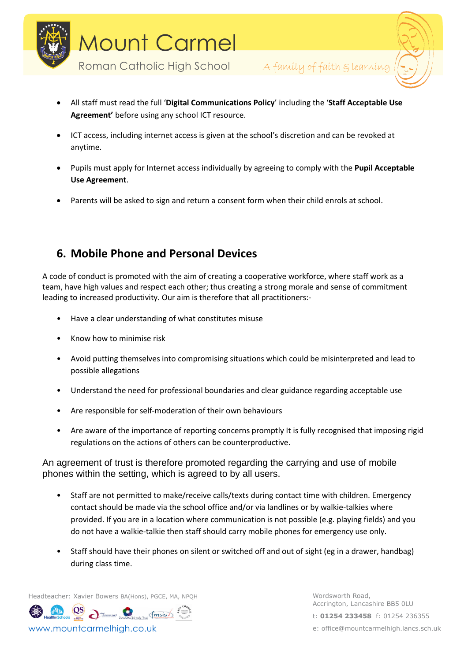



- All staff must read the full '**Digital Communications Policy**' including the '**Staff Acceptable Use Agreement'** before using any school ICT resource.
- ICT access, including internet access is given at the school's discretion and can be revoked at anytime.
- Pupils must apply for Internet access individually by agreeing to comply with the **Pupil Acceptable Use Agreement**.
- Parents will be asked to sign and return a consent form when their child enrols at school.

# **6. Mobile Phone and Personal Devices**

A code of conduct is promoted with the aim of creating a cooperative workforce, where staff work as a team, have high values and respect each other; thus creating a strong morale and sense of commitment leading to increased productivity. Our aim is therefore that all practitioners:-

- Have a clear understanding of what constitutes misuse
- Know how to minimise risk
- Avoid putting themselves into compromising situations which could be misinterpreted and lead to possible allegations
- Understand the need for professional boundaries and clear guidance regarding acceptable use
- Are responsible for self-moderation of their own behaviours
- Are aware of the importance of reporting concerns promptly It is fully recognised that imposing rigid regulations on the actions of others can be counterproductive.

An agreement of trust is therefore promoted regarding the carrying and use of mobile phones within the setting, which is agreed to by all users.

- Staff are not permitted to make/receive calls/texts during contact time with children. Emergency contact should be made via the school office and/or via landlines or by walkie-talkies where provided. If you are in a location where communication is not possible (e.g. playing fields) and you do not have a walkie-talkie then staff should carry mobile phones for emergency use only.
- Staff should have their phones on silent or switched off and out of sight (eg in a drawer, handbag) during class time.

Headteacher: Xavier Bowers BA(Hons), PGCE, MA, NPQH WORD WORDSWORTH Road,

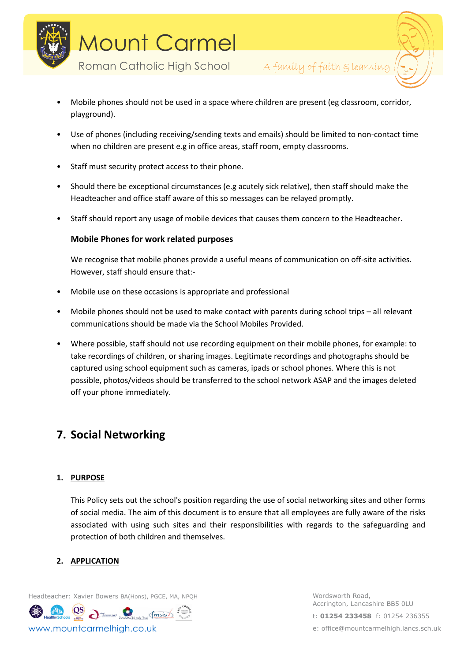

Roman Catholic High School A family of faith g learning



- Mobile phones should not be used in a space where children are present (eg classroom, corridor, playground).
- Use of phones (including receiving/sending texts and emails) should be limited to non-contact time when no children are present e.g in office areas, staff room, empty classrooms.
- Staff must security protect access to their phone.
- Should there be exceptional circumstances (e.g acutely sick relative), then staff should make the Headteacher and office staff aware of this so messages can be relayed promptly.
- Staff should report any usage of mobile devices that causes them concern to the Headteacher.

# **Mobile Phones for work related purposes**

We recognise that mobile phones provide a useful means of communication on off-site activities. However, staff should ensure that:-

- Mobile use on these occasions is appropriate and professional
- Mobile phones should not be used to make contact with parents during school trips all relevant communications should be made via the School Mobiles Provided.
- Where possible, staff should not use recording equipment on their mobile phones, for example: to take recordings of children, or sharing images. Legitimate recordings and photographs should be captured using school equipment such as cameras, ipads or school phones. Where this is not possible, photos/videos should be transferred to the school network ASAP and the images deleted off your phone immediately.

# **7. Social Networking**

## **1. PURPOSE**

This Policy sets out the school's position regarding the use of social networking sites and other forms of social media. The aim of this document is to ensure that all employees are fully aware of the risks associated with using such sites and their responsibilities with regards to the safeguarding and protection of both children and themselves.

# **2. APPLICATION**

Headteacher: Xavier Bowers BA(Hons), PGCE, MA, NPQH WORD WORDSWORTH Road,

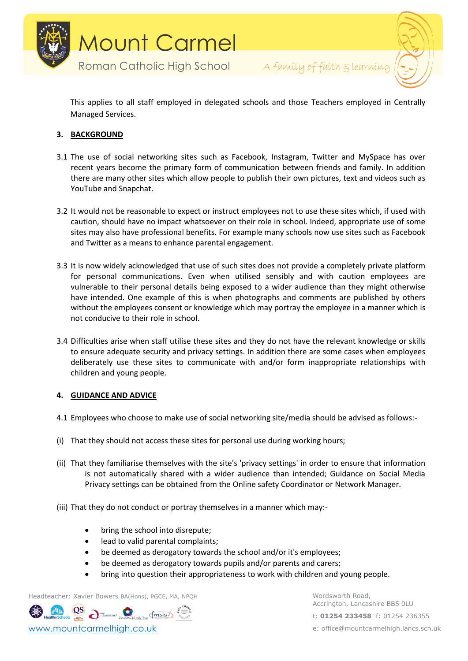



This applies to all staff employed in delegated schools and those Teachers employed in Centrally Managed Services.

# **3. BACKGROUND**

- 3.1 The use of social networking sites such as Facebook, Instagram, Twitter and MySpace has over recent years become the primary form of communication between friends and family. In addition there are many other sites which allow people to publish their own pictures, text and videos such as YouTube and Snapchat.
- 3.2 It would not be reasonable to expect or instruct employees not to use these sites which, if used with caution, should have no impact whatsoever on their role in school. Indeed, appropriate use of some sites may also have professional benefits. For example many schools now use sites such as Facebook and Twitter as a means to enhance parental engagement.
- 3.3 It is now widely acknowledged that use of such sites does not provide a completely private platform for personal communications. Even when utilised sensibly and with caution employees are vulnerable to their personal details being exposed to a wider audience than they might otherwise have intended. One example of this is when photographs and comments are published by others without the employees consent or knowledge which may portray the employee in a manner which is not conducive to their role in school.
- 3.4 Difficulties arise when staff utilise these sites and they do not have the relevant knowledge or skills to ensure adequate security and privacy settings. In addition there are some cases when employees deliberately use these sites to communicate with and/or form inappropriate relationships with children and young people.

# **4. GUIDANCE AND ADVICE**

- 4.1 Employees who choose to make use of social networking site/media should be advised as follows:-
- (i) That they should not access these sites for personal use during working hours;
- (ii) That they familiarise themselves with the site's 'privacy settings' in order to ensure that information is not automatically shared with a wider audience than intended; Guidance on Social Media Privacy settings can be obtained from the Online safety Coordinator or Network Manager.
- (iii) That they do not conduct or portray themselves in a manner which may:-
	- bring the school into disrepute;
	- lead to valid parental complaints;
	- be deemed as derogatory towards the school and/or it's employees;
	- be deemed as derogatory towards pupils and/or parents and carers;
	- bring into question their appropriateness to work with children and young people.

Headteacher: Xavier Bowers BA(Hons), PGCE, MA, NPQH WORD WORDSWORTH Road,

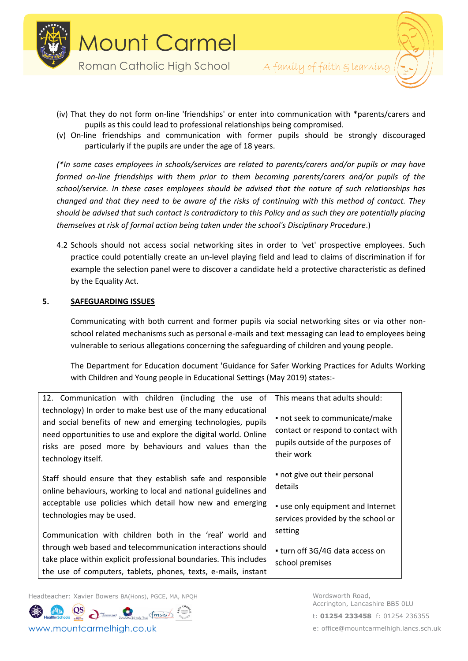



- (iv) That they do not form on-line 'friendships' or enter into communication with \*parents/carers and pupils as this could lead to professional relationships being compromised.
- (v) On-line friendships and communication with former pupils should be strongly discouraged particularly if the pupils are under the age of 18 years.

*(\*In some cases employees in schools/services are related to parents/carers and/or pupils or may have formed on-line friendships with them prior to them becoming parents/carers and/or pupils of the school/service. In these cases employees should be advised that the nature of such relationships has changed and that they need to be aware of the risks of continuing with this method of contact. They should be advised that such contact is contradictory to this Policy and as such they are potentially placing themselves at risk of formal action being taken under the school's Disciplinary Procedure*.)

4.2 Schools should not access social networking sites in order to 'vet' prospective employees. Such practice could potentially create an un-level playing field and lead to claims of discrimination if for example the selection panel were to discover a candidate held a protective characteristic as defined by the Equality Act.

## **5. SAFEGUARDING ISSUES**

Communicating with both current and former pupils via social networking sites or via other nonschool related mechanisms such as personal e-mails and text messaging can lead to employees being vulnerable to serious allegations concerning the safeguarding of children and young people.

The Department for Education document 'Guidance for Safer Working Practices for Adults Working with Children and Young people in Educational Settings (May 2019) states:-

| 12. Communication with children (including the use of                                                                                                                                                                                                                            | This means that adults should:                                                                                          |
|----------------------------------------------------------------------------------------------------------------------------------------------------------------------------------------------------------------------------------------------------------------------------------|-------------------------------------------------------------------------------------------------------------------------|
| technology) In order to make best use of the many educational<br>and social benefits of new and emerging technologies, pupils<br>need opportunities to use and explore the digital world. Online<br>risks are posed more by behaviours and values than the<br>technology itself. | · not seek to communicate/make<br>contact or respond to contact with<br>pupils outside of the purposes of<br>their work |
| Staff should ensure that they establish safe and responsible<br>online behaviours, working to local and national guidelines and<br>acceptable use policies which detail how new and emerging<br>technologies may be used.                                                        | • not give out their personal<br>details<br>• use only equipment and Internet<br>services provided by the school or     |
| Communication with children both in the 'real' world and<br>through web based and telecommunication interactions should<br>take place within explicit professional boundaries. This includes<br>the use of computers, tablets, phones, texts, e-mails, instant                   | setting<br>• turn off 3G/4G data access on<br>school premises                                                           |

Headteacher: Xavier Bowers BA(Hons), PGCE, MA, NPQH WORD WORDSWORTH Road,

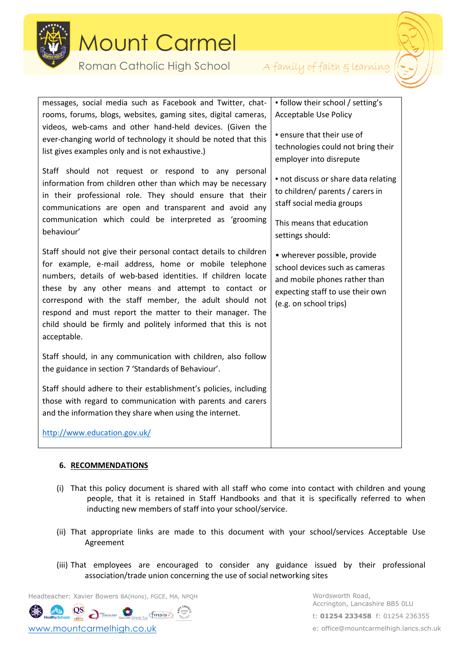

Roman Catholic High School A family of faith glearning



| messages, social media such as Facebook and Twitter, chat-<br>rooms, forums, blogs, websites, gaming sites, digital cameras,<br>videos, web-cams and other hand-held devices. (Given the<br>ever-changing world of technology it should be noted that this<br>list gives examples only and is not exhaustive.)<br>Staff should not request or respond to any personal<br>information from children other than which may be necessary<br>in their professional role. They should ensure that their<br>communications are open and transparent and avoid any<br>communication which could be interpreted as 'grooming<br>behaviour' | • follow their school / setting's<br><b>Acceptable Use Policy</b><br>· ensure that their use of<br>technologies could not bring their<br>employer into disrepute<br>• not discuss or share data relating<br>to children/ parents / carers in<br>staff social media groups<br>This means that education<br>settings should: |
|-----------------------------------------------------------------------------------------------------------------------------------------------------------------------------------------------------------------------------------------------------------------------------------------------------------------------------------------------------------------------------------------------------------------------------------------------------------------------------------------------------------------------------------------------------------------------------------------------------------------------------------|----------------------------------------------------------------------------------------------------------------------------------------------------------------------------------------------------------------------------------------------------------------------------------------------------------------------------|
| Staff should not give their personal contact details to children<br>for example, e-mail address, home or mobile telephone<br>numbers, details of web-based identities. If children locate<br>these by any other means and attempt to contact or<br>correspond with the staff member, the adult should not<br>respond and must report the matter to their manager. The<br>child should be firmly and politely informed that this is not<br>acceptable.                                                                                                                                                                             | • wherever possible, provide<br>school devices such as cameras<br>and mobile phones rather than<br>expecting staff to use their own<br>(e.g. on school trips)                                                                                                                                                              |
| Staff should, in any communication with children, also follow<br>the guidance in section 7 'Standards of Behaviour'.                                                                                                                                                                                                                                                                                                                                                                                                                                                                                                              |                                                                                                                                                                                                                                                                                                                            |
| Staff should adhere to their establishment's policies, including<br>those with regard to communication with parents and carers<br>and the information they share when using the internet.                                                                                                                                                                                                                                                                                                                                                                                                                                         |                                                                                                                                                                                                                                                                                                                            |
| http://www.education.gov.uk/                                                                                                                                                                                                                                                                                                                                                                                                                                                                                                                                                                                                      |                                                                                                                                                                                                                                                                                                                            |

# **6. RECOMMENDATIONS**

- (i) That this policy document is shared with all staff who come into contact with children and young people, that it is retained in Staff Handbooks and that it is specifically referred to when inducting new members of staff into your school/service.
- (ii) That appropriate links are made to this document with your school/services Acceptable Use Agreement
- (iii) That employees are encouraged to consider any guidance issued by their professional association/trade union concerning the use of social networking sites

Headteacher: Xavier Bowers BA(Hons), PGCE, MA, NPQH WORD WORDSWORTH Road,